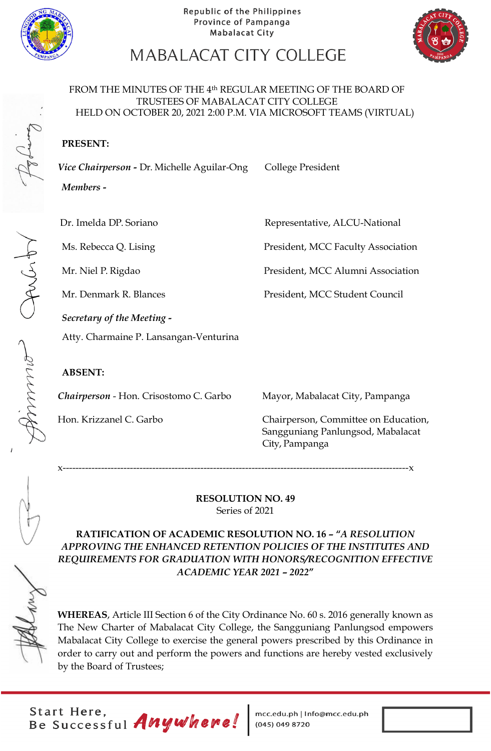



# MABALACAT CITY COLLEGE

#### FROM THE MINUTES OF THE 4th REGULAR MEETING OF THE BOARD OF TRUSTEES OF MABALACAT CITY COLLEGE HELD ON OCTOBER 20, 2021 2:00 P.M. VIA MICROSOFT TEAMS (VIRTUAL)

## **PRESENT:**

Vice Chairperson - Dr. Michelle Aguilar-Ong College President

*Members* **-**

Dr. Imelda DP. Soriano **Representative, ALCU-National** 

Ms. Rebecca Q. Lising President, MCC Faculty Association

Mr. Niel P. Rigdao President, MCC Alumni Association

Mr. Denmark R. Blances President, MCC Student Council

*Secretary of the Meeting -* Atty. Charmaine P. Lansangan-Venturina

## **ABSENT:**

Lament Comme

*Chairperson* - Hon. Crisostomo C. Garbo Mayor, Mabalacat City, Pampanga

Hon. Krizzanel C. Garbo Chairperson, Committee on Education, Sangguniang Panlungsod, Mabalacat City, Pampanga

x------------------------------------------------------------------------------------------------------------x

**RESOLUTION NO. 49** Series of 2021

**RATIFICATION OF ACADEMIC RESOLUTION NO. 16 – "***A RESOLUTION APPROVING THE ENHANCED RETENTION POLICIES OF THE INSTITUTES AND REQUIREMENTS FOR GRADUATION WITH HONORS/RECOGNITION EFFECTIVE ACADEMIC YEAR 2021 – 2022***"**

**WHEREAS**, Article III Section 6 of the City Ordinance No. 60 s. 2016 generally known as The New Charter of Mabalacat City College, the Sangguniang Panlungsod empowers Mabalacat City College to exercise the general powers prescribed by this Ordinance in order to carry out and perform the powers and functions are hereby vested exclusively by the Board of Trustees;

Start Here,<br>Be Successful Anywhere!

mcc.edu.ph | Info@mcc.edu.ph<br>(045) 049 8720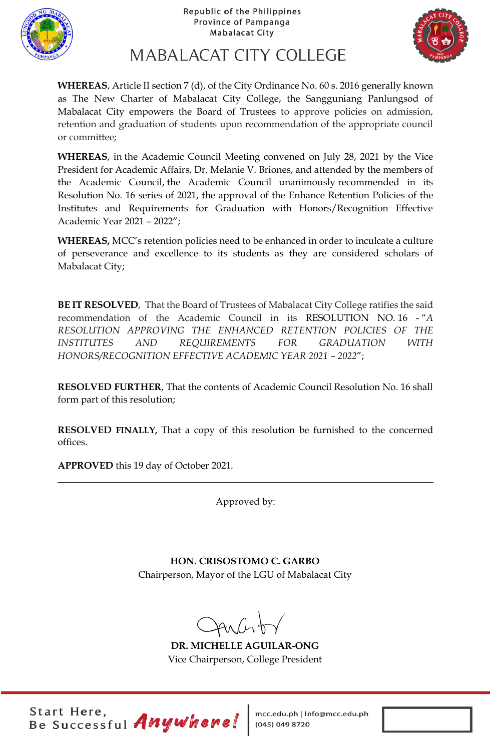



MABALACAT CITY COLLEGE

**WHEREAS**, Article II section 7 (d), of the City Ordinance No. 60 s. 2016 generally known as The New Charter of Mabalacat City College, the Sangguniang Panlungsod of Mabalacat City empowers the Board of Trustees to approve policies on admission, retention and graduation of students upon recommendation of the appropriate council or committee;

**WHEREAS**, in the Academic Council Meeting convened on July 28, 2021 by the Vice President for Academic Affairs, Dr. Melanie V. Briones, and attended by the members of the Academic Council, the Academic Council unanimously recommended in its Resolution No. 16 series of 2021, the approval of the Enhance Retention Policies of the Institutes and Requirements for Graduation with Honors/Recognition Effective Academic Year 2021 – 2022";

**WHEREAS,** MCC's retention policies need to be enhanced in order to inculcate a culture of perseverance and excellence to its students as they are considered scholars of Mabalacat City;

**BE IT RESOLVED**, That the Board of Trustees of Mabalacat City College ratifies the said recommendation of the Academic Council in its RESOLUTION NO. 16 - "*A RESOLUTION APPROVING THE ENHANCED RETENTION POLICIES OF THE INSTITUTES AND REQUIREMENTS FOR GRADUATION WITH HONORS/RECOGNITION EFFECTIVE ACADEMIC YEAR 2021 – 2022*";

**RESOLVED FURTHER**, That the contents of Academic Council Resolution No. 16 shall form part of this resolution;

**RESOLVED FINALLY,** That a copy of this resolution be furnished to the concerned offices.

**APPROVED** this 19 day of October 2021.

Approved by:

**HON. CRISOSTOMO C. GARBO** Chairperson, Mayor of the LGU of Mabalacat City

 $4n(n)$ 

**DR. MICHELLE AGUILAR-ONG** Vice Chairperson, College President

Start Here,<br>Be Successful Anywhere!

mcc.edu.ph | Info@mcc.edu.ph<br>(045) 049 8720